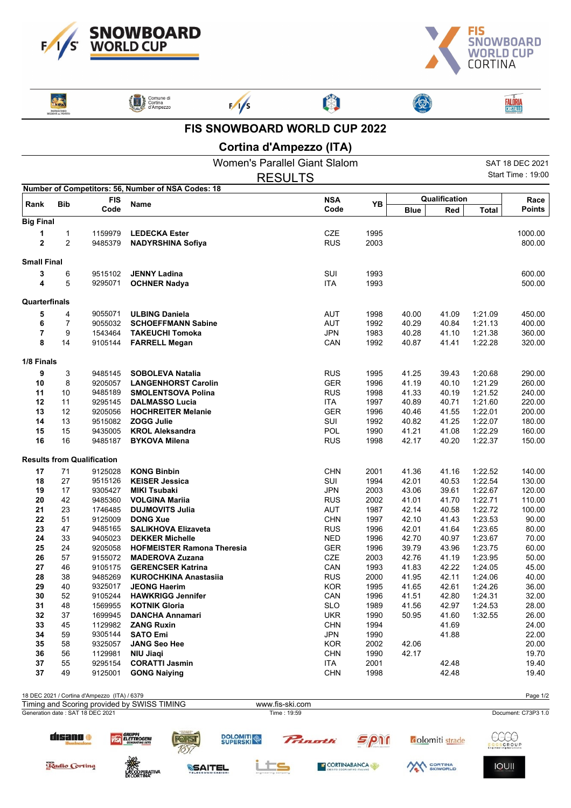



| <b>PATROCINIO</b><br><b>GIONE on VENETO</b> |  |
|---------------------------------------------|--|

Radio Cortina

**ANGELANDER PROPERTIVAL** 

| Comune di<br>Cortina<br>d'Ampezzo |
|-----------------------------------|



 $\frac{1}{5}$ 



3

**FALÔRIA**<br>CRISTALLO

## **FIS SNOWBOARD WORLD CUP 2022**

A

## **Cortina d'Ampezzo (ITA)**

|                    |                |                                              |                                                        | <b>Women's Parallel Giant Slalom</b> |                    |             |                        |                     | SAT 18 DEC 2021     |
|--------------------|----------------|----------------------------------------------|--------------------------------------------------------|--------------------------------------|--------------------|-------------|------------------------|---------------------|---------------------|
|                    |                |                                              |                                                        | <b>RESULTS</b>                       |                    |             |                        |                     | Start Time: 19:00   |
|                    |                |                                              | Number of Competitors: 56, Number of NSA Codes: 18     |                                      |                    |             |                        |                     |                     |
| Rank               | <b>Bib</b>     | <b>FIS</b>                                   | Name                                                   | <b>NSA</b>                           | YB                 |             | Qualification          |                     | Race                |
|                    |                | Code                                         |                                                        | Code                                 |                    | <b>Blue</b> | Red                    | <b>Total</b>        | <b>Points</b>       |
| <b>Big Final</b>   |                |                                              |                                                        |                                      |                    |             |                        |                     |                     |
|                    | 1              | 1159979                                      | <b>LEDECKA Ester</b>                                   | CZE                                  | 1995               |             |                        |                     | 1000.00             |
| $\mathbf 2$        | $\overline{2}$ | 9485379                                      | <b>NADYRSHINA Sofiya</b>                               | <b>RUS</b>                           | 2003               |             |                        |                     | 800.00              |
| <b>Small Final</b> |                |                                              |                                                        |                                      |                    |             |                        |                     |                     |
| 3                  | 6              | 9515102                                      | <b>JENNY Ladina</b>                                    | SUI                                  | 1993               |             |                        |                     | 600.00              |
| 4                  | 5              | 9295071                                      | <b>OCHNER Nadya</b>                                    | <b>ITA</b>                           | 1993               |             |                        |                     | 500.00              |
|                    |                |                                              |                                                        |                                      |                    |             |                        |                     |                     |
| Quarterfinals      |                |                                              |                                                        |                                      |                    |             |                        |                     |                     |
| 5                  | 4              | 9055071                                      | <b>ULBING Daniela</b>                                  | AUT                                  | 1998               | 40.00       | 41.09                  | 1:21.09             | 450.00              |
| 6                  | 7              | 9055032                                      | <b>SCHOEFFMANN Sabine</b>                              | <b>AUT</b>                           | 1992               | 40.29       | 40.84                  | 1:21.13             | 400.00              |
| 7                  | 9              | 1543464                                      | <b>TAKEUCHI Tomoka</b>                                 | <b>JPN</b>                           | 1983               | 40.28       | 41.10                  | 1:21.38             | 360.00              |
| 8                  | 14             | 9105144                                      | <b>FARRELL Megan</b>                                   | CAN                                  | 1992               | 40.87       | 41.41                  | 1:22.28             | 320.00              |
| 1/8 Finals         |                |                                              |                                                        |                                      |                    |             |                        |                     |                     |
| 9                  | 3              | 9485145                                      | <b>SOBOLEVA Natalia</b>                                | <b>RUS</b>                           | 1995               | 41.25       | 39.43                  | 1:20.68             | 290.00              |
| 10                 | 8              | 9205057                                      | <b>LANGENHORST Carolin</b>                             | <b>GER</b>                           | 1996               | 41.19       | 40.10                  | 1:21.29             | 260.00              |
| 11                 | 10             | 9485189                                      | <b>SMOLENTSOVA Polina</b>                              | <b>RUS</b>                           | 1998               | 41.33       | 40.19                  | 1:21.52             | 240.00              |
| 12                 | 11             | 9295145                                      | <b>DALMASSO Lucia</b>                                  | <b>ITA</b>                           | 1997               | 40.89       | 40.71                  | 1:21.60             | 220.00              |
| 13                 | 12             | 9205056                                      | <b>HOCHREITER Melanie</b>                              | <b>GER</b>                           | 1996               | 40.46       | 41.55                  | 1:22.01             | 200.00              |
| 14                 | 13             | 9515082                                      | <b>ZOGG Julie</b>                                      | SUI                                  | 1992               | 40.82       | 41.25                  | 1:22.07             | 180.00              |
| 15                 | 15             | 9435005                                      | <b>KROL Aleksandra</b>                                 | POL                                  | 1990               | 41.21       | 41.08                  | 1:22.29             | 160.00              |
| 16                 | 16             | 9485187                                      | <b>BYKOVA Milena</b>                                   | <b>RUS</b>                           | 1998               | 42.17       | 40.20                  | 1:22.37             | 150.00              |
|                    |                | <b>Results from Qualification</b>            |                                                        |                                      |                    |             |                        |                     |                     |
| 17                 | 71             | 9125028                                      | <b>KONG Binbin</b>                                     | <b>CHN</b>                           | 2001               | 41.36       | 41.16                  | 1:22.52             | 140.00              |
| 18                 | 27             | 9515126                                      | <b>KEISER Jessica</b>                                  | SUI                                  | 1994               | 42.01       | 40.53                  | 1:22.54             | 130.00              |
| 19                 | 17             | 9305427                                      | <b>MIKI Tsubaki</b>                                    | <b>JPN</b>                           | 2003               | 43.06       | 39.61                  | 1:22.67             | 120.00              |
| 20                 | 42             | 9485360                                      | <b>VOLGINA Marija</b>                                  | <b>RUS</b>                           | 2002               | 41.01       | 41.70                  | 1:22.71             | 110.00              |
| 21                 | 23             | 1746485                                      | <b>DUJMOVITS Julia</b>                                 | AUT                                  | 1987               | 42.14       | 40.58                  | 1:22.72             | 100.00              |
| 22                 | 51             | 9125009                                      | <b>DONG Xue</b>                                        | <b>CHN</b>                           | 1997               | 42.10       | 41.43                  | 1:23.53             | 90.00               |
| 23                 | 47             | 9485165                                      | <b>SALIKHOVA Elizaveta</b>                             | <b>RUS</b>                           | 1996               | 42.01       | 41.64                  | 1:23.65             | 80.00               |
| 24                 | 33             | 9405023                                      | <b>DEKKER Michelle</b>                                 | <b>NED</b>                           | 1996               | 42.70       | 40.97                  | 1:23.67             | 70.00               |
| 25                 | 24             | 9205058                                      | <b>HOFMEISTER Ramona Theresia</b>                      | <b>GER</b>                           | 1996               | 39.79       | 43.96                  | 1:23.75             | 60.00               |
| 26                 | 57             | 9155072                                      | <b>MADEROVA Zuzana</b>                                 | <b>CZE</b>                           | 2003               | 42.76       | 41.19                  | 1:23.95             | 50.00               |
| 27                 | 46             | 9105175                                      | <b>GERENCSER Katrina</b>                               | CAN                                  | 1993               | 41.83       | 42.22                  | 1:24.05             | 45.00               |
| 28                 | 38             | 9485269                                      | <b>KUROCHKINA Anastasiia</b>                           | <b>RUS</b>                           | 2000               | 41.95       | 42.11                  | 1:24.06             | 40.00               |
| 29                 | 40             | 9325017                                      | <b>JEONG Haerim</b>                                    | <b>KOR</b>                           | 1995               | 41.65       | 42.61                  | 1:24.26             | 36.00               |
| 30                 | 52             | 9105244                                      | <b>HAWKRIGG Jennifer</b>                               | CAN                                  | 1996               | 41.51       | 42.80                  | 1:24.31             | 32.00               |
| 31                 | 48             | 1569955<br>1699945                           | <b>KOTNIK Gloria</b>                                   | <b>SLO</b>                           | 1989               | 41.56       | 42.97                  | 1:24.53             | 28.00               |
| 32<br>33           | 37             | 1129982                                      | <b>DANCHA Annamari</b><br><b>ZANG Ruxin</b>            | UKR<br><b>CHN</b>                    | 1990               | 50.95       | 41.60                  | 1:32.55             | 26.00               |
| 34                 | 45<br>59       | 9305144                                      | <b>SATO Emi</b>                                        | <b>JPN</b>                           | 1994<br>1990       |             | 41.69<br>41.88         |                     | 24.00<br>22.00      |
| 35                 | 58             | 9325057                                      | <b>JANG Seo Hee</b>                                    | <b>KOR</b>                           | 2002               | 42.06       |                        |                     | 20.00               |
| 36                 | 56             | 1129981                                      | NIU Jiagi                                              | <b>CHN</b>                           | 1990               | 42.17       |                        |                     | 19.70               |
| 37                 | 55             | 9295154                                      | <b>CORATTI Jasmin</b>                                  | <b>ITA</b>                           | 2001               |             | 42.48                  |                     | 19.40               |
| 37                 | 49             | 9125001                                      | <b>GONG Naiying</b>                                    | <b>CHN</b>                           | 1998               |             | 42.48                  |                     | 19.40               |
|                    |                |                                              |                                                        |                                      |                    |             |                        |                     |                     |
|                    |                | 18 DEC 2021 / Cortina d'Ampezzo (ITA) / 6379 | Timing and Scoring provided by SWISS TIMING            | www.fis-ski.com                      |                    |             |                        |                     | Page 1/2            |
|                    |                | Generation date: SAT 18 DEC 2021             |                                                        | Time: 19:59                          |                    |             |                        |                     | Document: C73P3 1.0 |
|                    | disano o       |                                              | <b>GRUPPI</b><br><b>ELETTROGENI</b><br><b>DOLOMITI</b> | Princetti                            | <i><b>SPN1</b></i> |             | <b>colomiti</b> strade | Œ<br><b>GSGROUP</b> |                     |

<u>its</u>

**SSAITEL** 

CORTINABANCA

AN CORTINA

**IOUII**